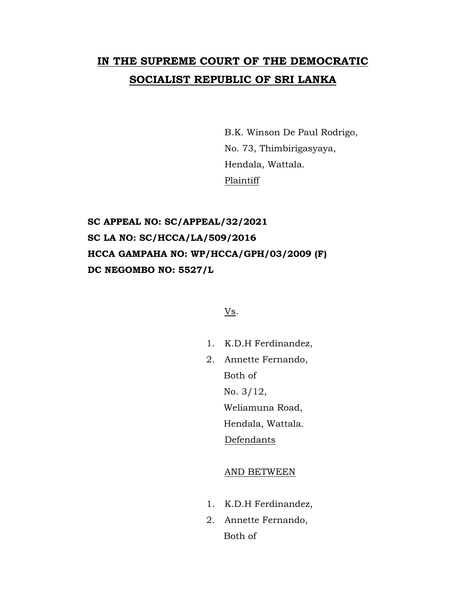# **IN THE SUPREME COURT OF THE DEMOCRATIC SOCIALIST REPUBLIC OF SRI LANKA**

B.K. Winson De Paul Rodrigo, No. 73, Thimbirigasyaya, Hendala, Wattala. Plaintiff

## **SC APPEAL NO: SC/APPEAL/32/2021 SC LA NO: SC/HCCA/LA/509/2016 HCCA GAMPAHA NO: WP/HCCA/GPH/03/2009 (F) DC NEGOMBO NO: 5527/L**

Vs.

- 1. K.D.H Ferdinandez,
- 2. Annette Fernando, Both of No. 3/12, Weliamuna Road,

Hendala, Wattala.

Defendants

### AND BETWEEN

- 1. K.D.H Ferdinandez,
- 2. Annette Fernando, Both of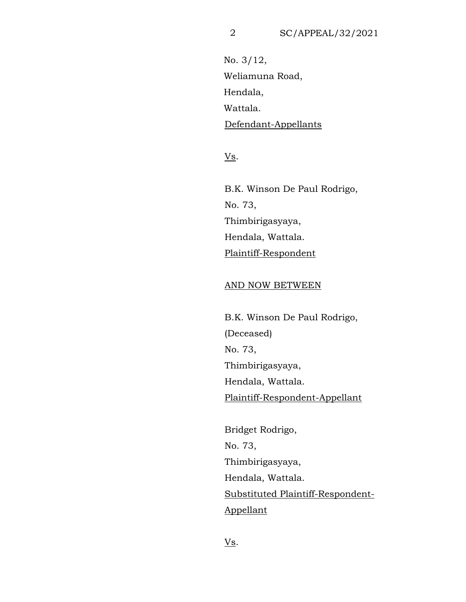No. 3/12, Weliamuna Road, Hendala, Wattala. Defendant-Appellants

Vs.

B.K. Winson De Paul Rodrigo, No. 73, Thimbirigasyaya, Hendala, Wattala. Plaintiff-Respondent

#### AND NOW BETWEEN

B.K. Winson De Paul Rodrigo, (Deceased) No. 73, Thimbirigasyaya, Hendala, Wattala. Plaintiff-Respondent-Appellant

Bridget Rodrigo, No. 73, Thimbirigasyaya, Hendala, Wattala. Substituted Plaintiff-Respondent-Appellant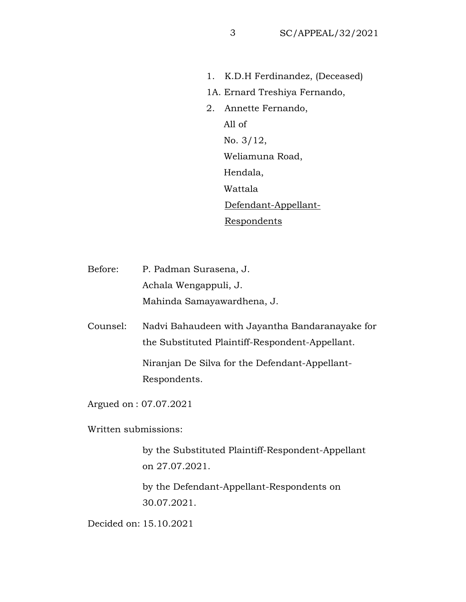- 1. K.D.H Ferdinandez, (Deceased)
- 1A. Ernard Treshiya Fernando,
- 2. Annette Fernando, All of No. 3/12, Weliamuna Road, Hendala, Wattala Defendant-Appellant-**Respondents**
- Before: P. Padman Surasena, J. Achala Wengappuli, J. Mahinda Samayawardhena, J.
- Counsel: Nadvi Bahaudeen with Jayantha Bandaranayake for the Substituted Plaintiff-Respondent-Appellant. Niranjan De Silva for the Defendant-Appellant-Respondents.
- Argued on : 07.07.2021
- Written submissions:
	- by the Substituted Plaintiff-Respondent-Appellant on 27.07.2021.
	- by the Defendant-Appellant-Respondents on 30.07.2021.

Decided on: 15.10.2021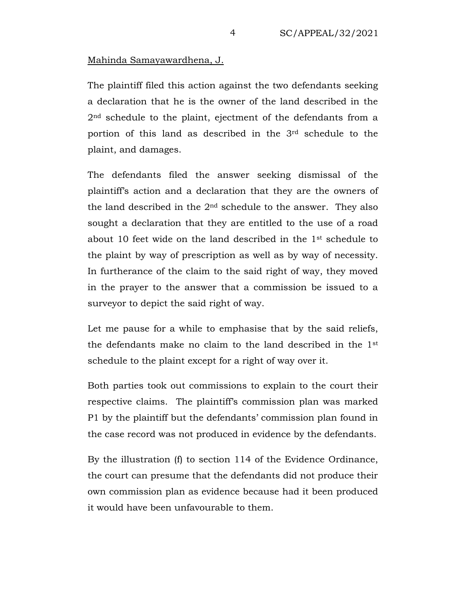### Mahinda Samayawardhena, J.

The plaintiff filed this action against the two defendants seeking a declaration that he is the owner of the land described in the 2<sup>nd</sup> schedule to the plaint, ejectment of the defendants from a portion of this land as described in the 3rd schedule to the plaint, and damages.

The defendants filed the answer seeking dismissal of the plaintiff's action and a declaration that they are the owners of the land described in the  $2<sup>nd</sup>$  schedule to the answer. They also sought a declaration that they are entitled to the use of a road about 10 feet wide on the land described in the 1st schedule to the plaint by way of prescription as well as by way of necessity. In furtherance of the claim to the said right of way, they moved in the prayer to the answer that a commission be issued to a surveyor to depict the said right of way.

Let me pause for a while to emphasise that by the said reliefs, the defendants make no claim to the land described in the 1st schedule to the plaint except for a right of way over it.

Both parties took out commissions to explain to the court their respective claims. The plaintiff's commission plan was marked P1 by the plaintiff but the defendants' commission plan found in the case record was not produced in evidence by the defendants.

By the illustration (f) to section 114 of the Evidence Ordinance, the court can presume that the defendants did not produce their own commission plan as evidence because had it been produced it would have been unfavourable to them.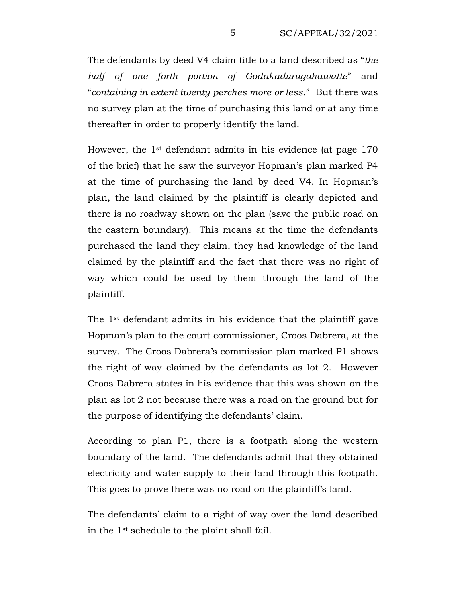The defendants by deed V4 claim title to a land described as "*the half of one forth portion of Godakadurugahawatte*" and "*containing in extent twenty perches more or less*." But there was no survey plan at the time of purchasing this land or at any time thereafter in order to properly identify the land.

However, the 1st defendant admits in his evidence (at page 170 of the brief) that he saw the surveyor Hopman's plan marked P4 at the time of purchasing the land by deed V4. In Hopman's plan, the land claimed by the plaintiff is clearly depicted and there is no roadway shown on the plan (save the public road on the eastern boundary). This means at the time the defendants purchased the land they claim, they had knowledge of the land claimed by the plaintiff and the fact that there was no right of way which could be used by them through the land of the plaintiff.

The 1st defendant admits in his evidence that the plaintiff gave Hopman's plan to the court commissioner, Croos Dabrera, at the survey. The Croos Dabrera's commission plan marked P1 shows the right of way claimed by the defendants as lot 2. However Croos Dabrera states in his evidence that this was shown on the plan as lot 2 not because there was a road on the ground but for the purpose of identifying the defendants' claim.

According to plan P1, there is a footpath along the western boundary of the land. The defendants admit that they obtained electricity and water supply to their land through this footpath. This goes to prove there was no road on the plaintiff's land.

The defendants' claim to a right of way over the land described in the 1st schedule to the plaint shall fail.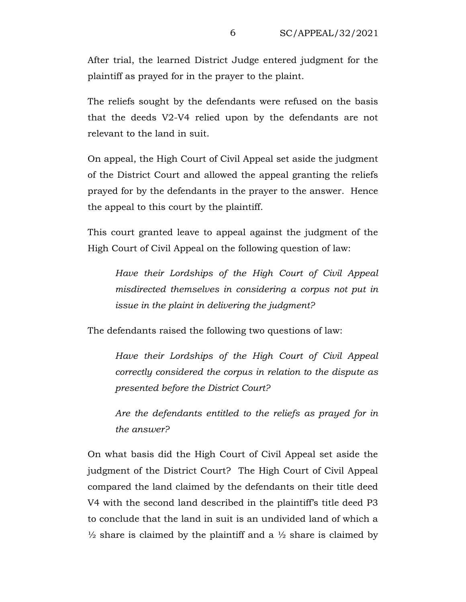After trial, the learned District Judge entered judgment for the plaintiff as prayed for in the prayer to the plaint.

The reliefs sought by the defendants were refused on the basis that the deeds V2-V4 relied upon by the defendants are not relevant to the land in suit.

On appeal, the High Court of Civil Appeal set aside the judgment of the District Court and allowed the appeal granting the reliefs prayed for by the defendants in the prayer to the answer. Hence the appeal to this court by the plaintiff.

This court granted leave to appeal against the judgment of the High Court of Civil Appeal on the following question of law:

*Have their Lordships of the High Court of Civil Appeal misdirected themselves in considering a corpus not put in issue in the plaint in delivering the judgment?*

The defendants raised the following two questions of law:

*Have their Lordships of the High Court of Civil Appeal correctly considered the corpus in relation to the dispute as presented before the District Court?*

*Are the defendants entitled to the reliefs as prayed for in the answer?*

On what basis did the High Court of Civil Appeal set aside the judgment of the District Court? The High Court of Civil Appeal compared the land claimed by the defendants on their title deed V4 with the second land described in the plaintiff's title deed P3 to conclude that the land in suit is an undivided land of which a  $\frac{1}{2}$  share is claimed by the plaintiff and a  $\frac{1}{2}$  share is claimed by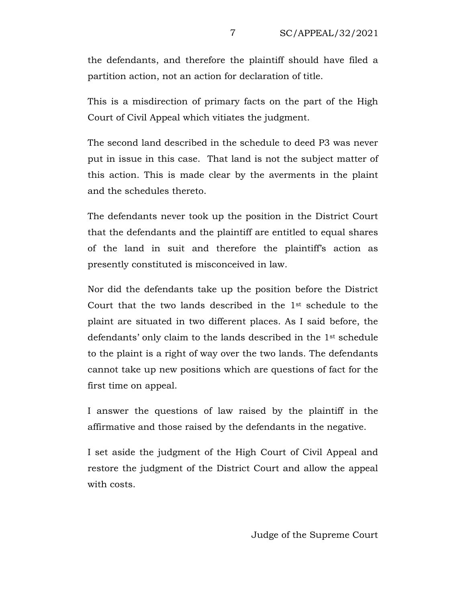the defendants, and therefore the plaintiff should have filed a partition action, not an action for declaration of title.

This is a misdirection of primary facts on the part of the High Court of Civil Appeal which vitiates the judgment.

The second land described in the schedule to deed P3 was never put in issue in this case. That land is not the subject matter of this action. This is made clear by the averments in the plaint and the schedules thereto.

The defendants never took up the position in the District Court that the defendants and the plaintiff are entitled to equal shares of the land in suit and therefore the plaintiff's action as presently constituted is misconceived in law.

Nor did the defendants take up the position before the District Court that the two lands described in the 1st schedule to the plaint are situated in two different places. As I said before, the defendants' only claim to the lands described in the 1st schedule to the plaint is a right of way over the two lands. The defendants cannot take up new positions which are questions of fact for the first time on appeal.

I answer the questions of law raised by the plaintiff in the affirmative and those raised by the defendants in the negative.

I set aside the judgment of the High Court of Civil Appeal and restore the judgment of the District Court and allow the appeal with costs.

Judge of the Supreme Court